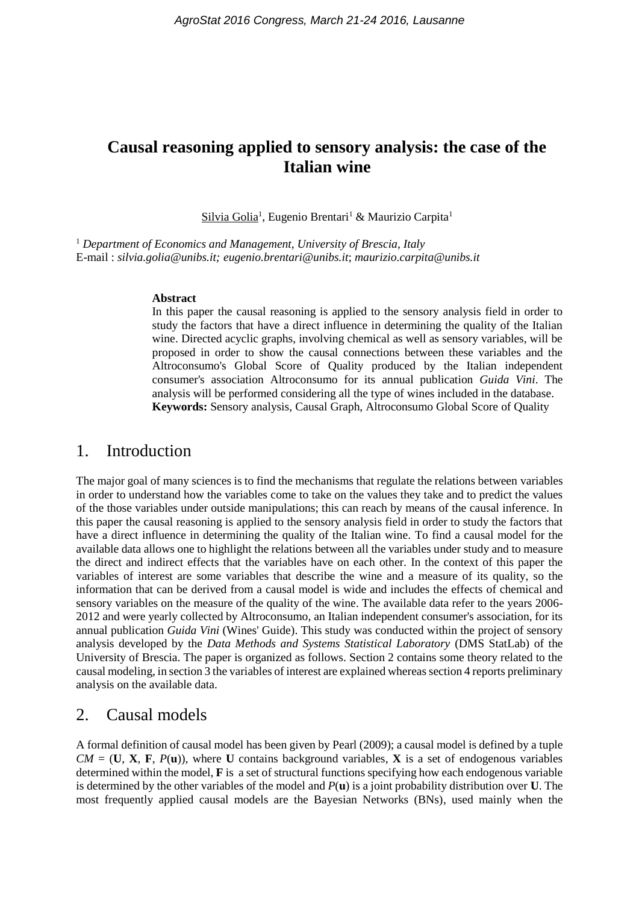# **Causal reasoning applied to sensory analysis: the case of the Italian wine**

Silvia Golia<sup>1</sup>, Eugenio Brentari<sup>1</sup> & Maurizio Carpita<sup>1</sup>

<sup>1</sup> *Department of Economics and Management, University of Brescia, Italy* E-mail : *silvia.golia@unibs.it; [eugenio.brentari@unibs.it](mailto:eugenio.brentari@unibs.it)*; *maurizio.carpita@unibs.it*

#### **Abstract**

In this paper the causal reasoning is applied to the sensory analysis field in order to study the factors that have a direct influence in determining the quality of the Italian wine. Directed acyclic graphs, involving chemical as well as sensory variables, will be proposed in order to show the causal connections between these variables and the Altroconsumo's Global Score of Quality produced by the Italian independent consumer's association Altroconsumo for its annual publication *Guida Vini*. The analysis will be performed considering all the type of wines included in the database. **Keywords:** Sensory analysis, Causal Graph, Altroconsumo Global Score of Quality

### 1. Introduction

The major goal of many sciences is to find the mechanisms that regulate the relations between variables in order to understand how the variables come to take on the values they take and to predict the values of the those variables under outside manipulations; this can reach by means of the causal inference. In this paper the causal reasoning is applied to the sensory analysis field in order to study the factors that have a direct influence in determining the quality of the Italian wine. To find a causal model for the available data allows one to highlight the relations between all the variables under study and to measure the direct and indirect effects that the variables have on each other. In the context of this paper the variables of interest are some variables that describe the wine and a measure of its quality, so the information that can be derived from a causal model is wide and includes the effects of chemical and sensory variables on the measure of the quality of the wine. The available data refer to the years 2006- 2012 and were yearly collected by Altroconsumo, an Italian independent consumer's association, for its annual publication *Guida Vini* (Wines' Guide). This study was conducted within the project of sensory analysis developed by the *Data Methods and Systems Statistical Laboratory* (DMS StatLab) of the University of Brescia. The paper is organized as follows. Section 2 contains some theory related to the causal modeling, in section 3 the variables of interest are explained whereas section 4 reports preliminary analysis on the available data.

# 2. Causal models

A formal definition of causal model has been given by Pearl (2009); a causal model is defined by a tuple  $CM = (\mathbf{U}, \mathbf{X}, \mathbf{F}, P(\mathbf{u}))$ , where **U** contains background variables, **X** is a set of endogenous variables determined within the model, **F** is a set of structural functions specifying how each endogenous variable is determined by the other variables of the model and *P*(**u**) is a joint probability distribution over **U**. The most frequently applied causal models are the Bayesian Networks (BNs), used mainly when the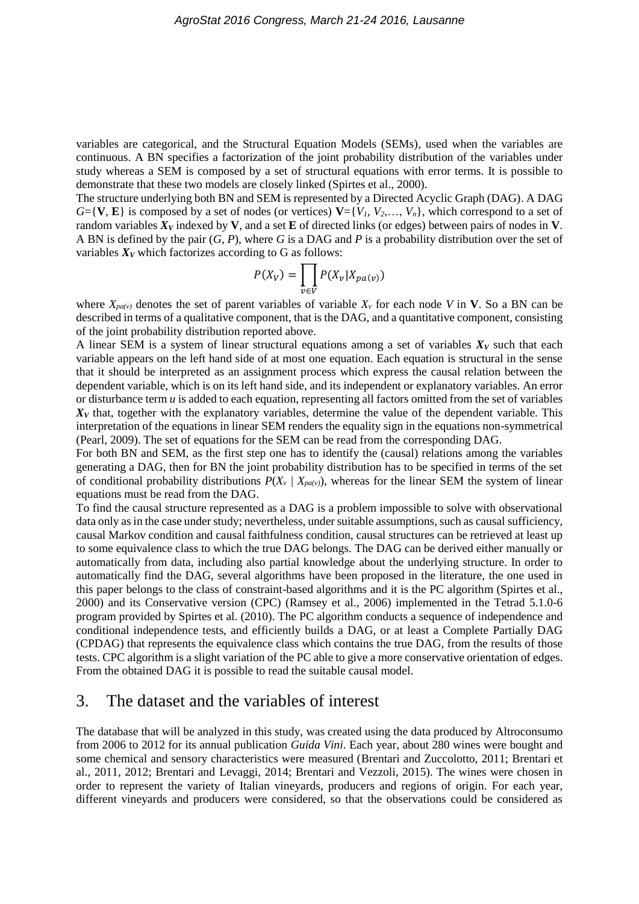variables are categorical, and the Structural Equation Models (SEMs), used when the variables are continuous. A BN specifies a factorization of the joint probability distribution of the variables under study whereas a SEM is composed by a set of structural equations with error terms. It is possible to demonstrate that these two models are closely linked (Spirtes et al., 2000).

The structure underlying both BN and SEM is represented by a Directed Acyclic Graph (DAG). A DAG  $G = \{V, E\}$  is composed by a set of nodes (or vertices)  $V = \{V_1, V_2, \ldots, V_n\}$ , which correspond to a set of random variables *X<sup>V</sup>* indexed by **V**, and a set **E** of directed links (or edges) between pairs of nodes in **V**. A BN is defined by the pair (*G*, *P*), where *G* is a DAG and *P* is a probability distribution over the set of variables  $X_V$  which factorizes according to G as follows:

$$
P(X_V) = \prod_{v \in V} P(X_v | X_{pa(v)})
$$

where  $X_{pa(v)}$  denotes the set of parent variables of variable  $X_v$  for each node V in V. So a BN can be described in terms of a qualitative component, that is the DAG, and a quantitative component, consisting of the joint probability distribution reported above.

A linear SEM is a system of linear structural equations among a set of variables  $X_V$  such that each variable appears on the left hand side of at most one equation. Each equation is structural in the sense that it should be interpreted as an assignment process which express the causal relation between the dependent variable, which is on its left hand side, and its independent or explanatory variables. An error or disturbance term *u* is added to each equation, representing all factors omitted from the set of variables  $X_V$  that, together with the explanatory variables, determine the value of the dependent variable. This interpretation of the equations in linear SEM renders the equality sign in the equations non-symmetrical (Pearl, 2009). The set of equations for the SEM can be read from the corresponding DAG.

For both BN and SEM, as the first step one has to identify the (causal) relations among the variables generating a DAG, then for BN the joint probability distribution has to be specified in terms of the set of conditional probability distributions  $P(X_v | X_{pa(v)})$ , whereas for the linear SEM the system of linear equations must be read from the DAG.

To find the causal structure represented as a DAG is a problem impossible to solve with observational data only as in the case under study; nevertheless, under suitable assumptions, such as causal sufficiency, causal Markov condition and causal faithfulness condition, causal structures can be retrieved at least up to some equivalence class to which the true DAG belongs. The DAG can be derived either manually or automatically from data, including also partial knowledge about the underlying structure. In order to automatically find the DAG, several algorithms have been proposed in the literature, the one used in this paper belongs to the class of constraint-based algorithms and it is the PC algorithm (Spirtes et al., 2000) and its Conservative version (CPC) (Ramsey et al., 2006) implemented in the Tetrad 5.1.0-6 program provided by Spirtes et al. (2010). The PC algorithm conducts a sequence of independence and conditional independence tests, and efficiently builds a DAG, or at least a Complete Partially DAG (CPDAG) that represents the equivalence class which contains the true DAG, from the results of those tests. CPC algorithm is a slight variation of the PC able to give a more conservative orientation of edges. From the obtained DAG it is possible to read the suitable causal model.

## 3. The dataset and the variables of interest

The database that will be analyzed in this study, was created using the data produced by Altroconsumo from 2006 to 2012 for its annual publication *Guida Vini*. Each year, about 280 wines were bought and some chemical and sensory characteristics were measured (Brentari and Zuccolotto, 2011; Brentari et al., 2011, 2012; Brentari and Levaggi, 2014; Brentari and Vezzoli, 2015). The wines were chosen in order to represent the variety of Italian vineyards, producers and regions of origin. For each year, different vineyards and producers were considered, so that the observations could be considered as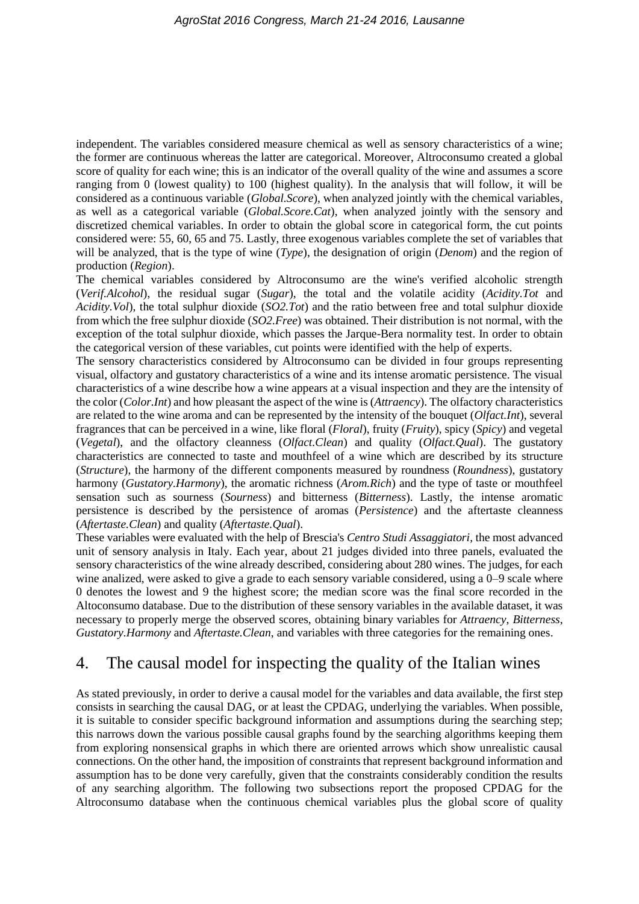independent. The variables considered measure chemical as well as sensory characteristics of a wine; the former are continuous whereas the latter are categorical. Moreover, Altroconsumo created a global score of quality for each wine; this is an indicator of the overall quality of the wine and assumes a score ranging from 0 (lowest quality) to 100 (highest quality). In the analysis that will follow, it will be considered as a continuous variable (*Global.Score*), when analyzed jointly with the chemical variables, as well as a categorical variable (*Global.Score.Cat*), when analyzed jointly with the sensory and discretized chemical variables. In order to obtain the global score in categorical form, the cut points considered were: 55, 60, 65 and 75. Lastly, three exogenous variables complete the set of variables that will be analyzed, that is the type of wine (*Type*), the designation of origin (*Denom*) and the region of production (*Region*).

The chemical variables considered by Altroconsumo are the wine's verified alcoholic strength (*Verif.Alcohol*), the residual sugar (*Sugar*), the total and the volatile acidity (*Acidity.Tot* and *Acidity.Vol*), the total sulphur dioxide (*SO2.Tot*) and the ratio between free and total sulphur dioxide from which the free sulphur dioxide (*SO2.Free*) was obtained. Their distribution is not normal, with the exception of the total sulphur dioxide, which passes the Jarque-Bera normality test. In order to obtain the categorical version of these variables, cut points were identified with the help of experts.

The sensory characteristics considered by Altroconsumo can be divided in four groups representing visual, olfactory and gustatory characteristics of a wine and its intense aromatic persistence. The visual characteristics of a wine describe how a wine appears at a visual inspection and they are the intensity of the color (*Color.Int*) and how pleasant the aspect of the wine is (*Attraency*). The olfactory characteristics are related to the wine aroma and can be represented by the intensity of the bouquet (*Olfact.Int*), several fragrances that can be perceived in a wine, like floral (*Floral*), fruity (*Fruity*), spicy (*Spicy*) and vegetal (*Vegetal*), and the olfactory cleanness (*Olfact.Clean*) and quality (*Olfact.Qual*). The gustatory characteristics are connected to taste and mouthfeel of a wine which are described by its structure (*Structure*), the harmony of the different components measured by roundness (*Roundness*), gustatory harmony (*Gustatory.Harmony*), the aromatic richness (*Arom.Rich*) and the type of taste or mouthfeel sensation such as sourness (*Sourness*) and bitterness (*Bitterness*). Lastly, the intense aromatic persistence is described by the persistence of aromas (*Persistence*) and the aftertaste cleanness (*Aftertaste.Clean*) and quality (*Aftertaste.Qual*).

These variables were evaluated with the help of Brescia's *Centro Studi Assaggiatori*, the most advanced unit of sensory analysis in Italy. Each year, about 21 judges divided into three panels, evaluated the sensory characteristics of the wine already described, considering about 280 wines. The judges, for each wine analized, were asked to give a grade to each sensory variable considered, using a 0–9 scale where 0 denotes the lowest and 9 the highest score; the median score was the final score recorded in the Altoconsumo database. Due to the distribution of these sensory variables in the available dataset, it was necessary to properly merge the observed scores, obtaining binary variables for *Attraency*, *Bitterness*, *Gustatory.Harmony* and *Aftertaste.Clean*, and variables with three categories for the remaining ones.

# 4. The causal model for inspecting the quality of the Italian wines

As stated previously, in order to derive a causal model for the variables and data available, the first step consists in searching the causal DAG, or at least the CPDAG, underlying the variables. When possible, it is suitable to consider specific background information and assumptions during the searching step; this narrows down the various possible causal graphs found by the searching algorithms keeping them from exploring nonsensical graphs in which there are oriented arrows which show unrealistic causal connections. On the other hand, the imposition of constraints that represent background information and assumption has to be done very carefully, given that the constraints considerably condition the results of any searching algorithm. The following two subsections report the proposed CPDAG for the Altroconsumo database when the continuous chemical variables plus the global score of quality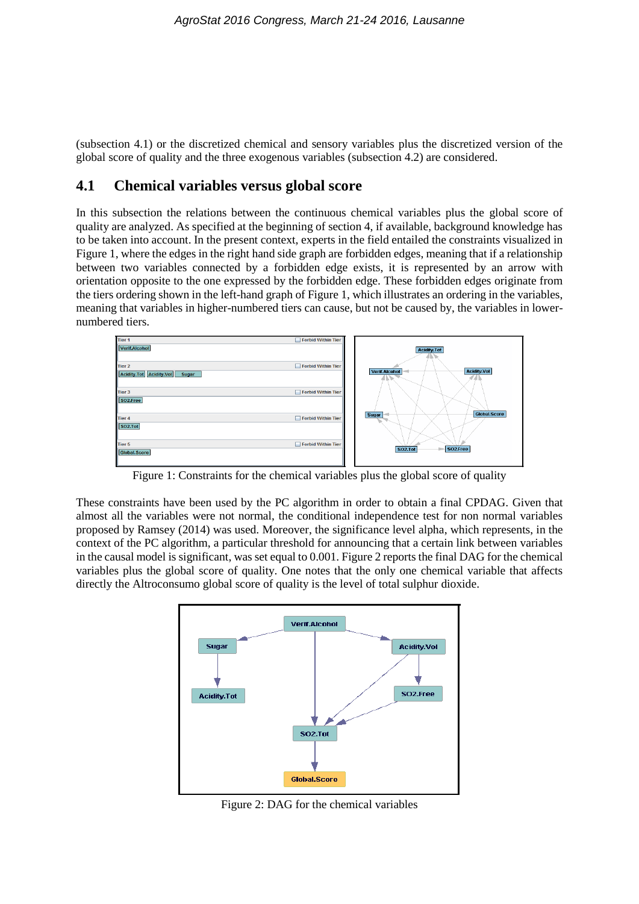(subsection 4.1) or the discretized chemical and sensory variables plus the discretized version of the global score of quality and the three exogenous variables (subsection 4.2) are considered.

#### **4.1 Chemical variables versus global score**

In this subsection the relations between the continuous chemical variables plus the global score of quality are analyzed. As specified at the beginning of section 4, if available, background knowledge has to be taken into account. In the present context, experts in the field entailed the constraints visualized in Figure 1, where the edges in the right hand side graph are forbidden edges, meaning that if a relationship between two variables connected by a forbidden edge exists, it is represented by an arrow with orientation opposite to the one expressed by the forbidden edge. These forbidden edges originate from the tiers ordering shown in the left-hand graph of Figure 1, which illustrates an ordering in the variables, meaning that variables in higher-numbered tiers can cause, but not be caused by, the variables in lowernumbered tiers.



Figure 1: Constraints for the chemical variables plus the global score of quality

These constraints have been used by the PC algorithm in order to obtain a final CPDAG. Given that almost all the variables were not normal, the conditional independence test for non normal variables proposed by Ramsey (2014) was used. Moreover, the significance level alpha, which represents, in the context of the PC algorithm, a particular threshold for announcing that a certain link between variables in the causal model is significant, was set equal to 0.001. Figure 2 reports the final DAG for the chemical variables plus the global score of quality. One notes that the only one chemical variable that affects directly the Altroconsumo global score of quality is the level of total sulphur dioxide.



Figure 2: DAG for the chemical variables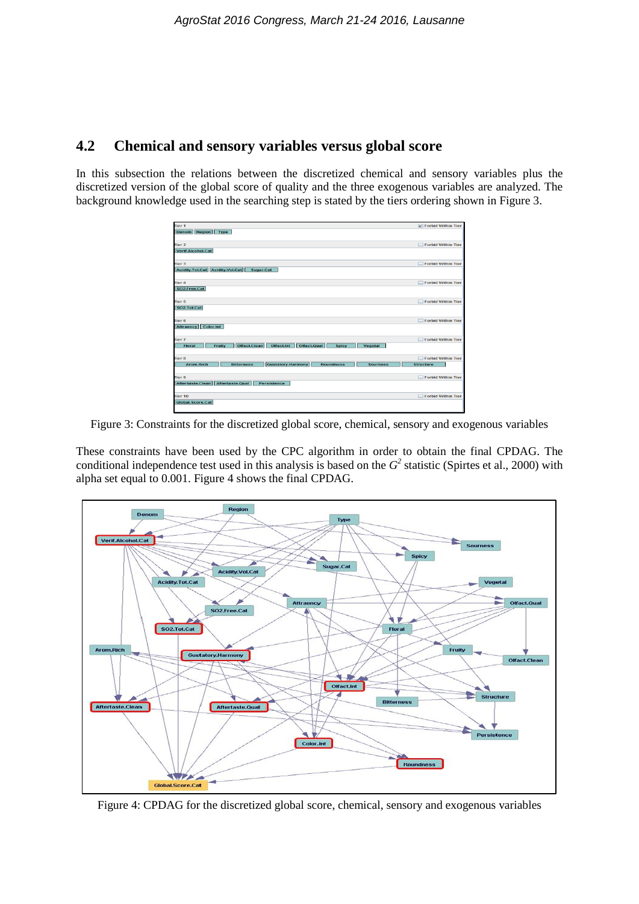## **4.2 Chemical and sensory variables versus global score**

In this subsection the relations between the discretized chemical and sensory variables plus the discretized version of the global score of quality and the three exogenous variables are analyzed. The background knowledge used in the searching step is stated by the tiers ordering shown in Figure 3.

| Tier <sub>1</sub>                                                                                        | <b>v</b> Forbid Within Tier                   |
|----------------------------------------------------------------------------------------------------------|-----------------------------------------------|
| Denom Region Type                                                                                        |                                               |
|                                                                                                          |                                               |
| Tier <sub>2</sub>                                                                                        | <b>Forbid Within Tier</b>                     |
| Verif.Alcohol.Cat                                                                                        |                                               |
|                                                                                                          |                                               |
| Tier <sub>3</sub>                                                                                        | <b>Forbid Within Tier</b>                     |
| Acidity.Tot.Cat   Acidity.Vol.Cat  <br>Sugar.Cat                                                         |                                               |
|                                                                                                          |                                               |
| Tier <sub>4</sub>                                                                                        | <b>Forbid Within Tier</b>                     |
| SO2.Free.Cat                                                                                             |                                               |
|                                                                                                          |                                               |
| Tier 5                                                                                                   | <b>Forbid Within Tier</b>                     |
| SO2.Tot.Cat                                                                                              |                                               |
|                                                                                                          |                                               |
| Tier <sub>6</sub>                                                                                        | <b>Forbid Within Tier</b>                     |
| Attraency Color.Int                                                                                      |                                               |
|                                                                                                          |                                               |
| Tier <sub>7</sub>                                                                                        | Forbid Within Tier                            |
| Olfact.Clean<br>Olfact.Qual<br>Fruity<br>Offact.Int<br><b>Floral</b><br><b>Vegetal</b><br><b>Spicy</b>   |                                               |
| Tier <sub>8</sub>                                                                                        |                                               |
| <b>Gustatory.Harmony</b><br><b>Arom.Rich</b><br><b>Roundness</b><br><b>Bitterness</b><br><b>Sourness</b> | <b>Forbid Within Tier</b><br><b>Structure</b> |
|                                                                                                          |                                               |
| Tier <sub>9</sub>                                                                                        | <b>Forbid Within Tier</b>                     |
| Aftertaste.Clean Aftertaste.Qual<br>Persistence                                                          |                                               |
|                                                                                                          |                                               |
| Tier <sub>10</sub>                                                                                       | Forbid Within Tier                            |
| Global. Score.Cat                                                                                        |                                               |
|                                                                                                          |                                               |

Figure 3: Constraints for the discretized global score, chemical, sensory and exogenous variables

These constraints have been used by the CPC algorithm in order to obtain the final CPDAG. The conditional independence test used in this analysis is based on the  $G<sup>2</sup>$  statistic (Spirtes et al., 2000) with alpha set equal to 0.001. Figure 4 shows the final CPDAG.



Figure 4: CPDAG for the discretized global score, chemical, sensory and exogenous variables